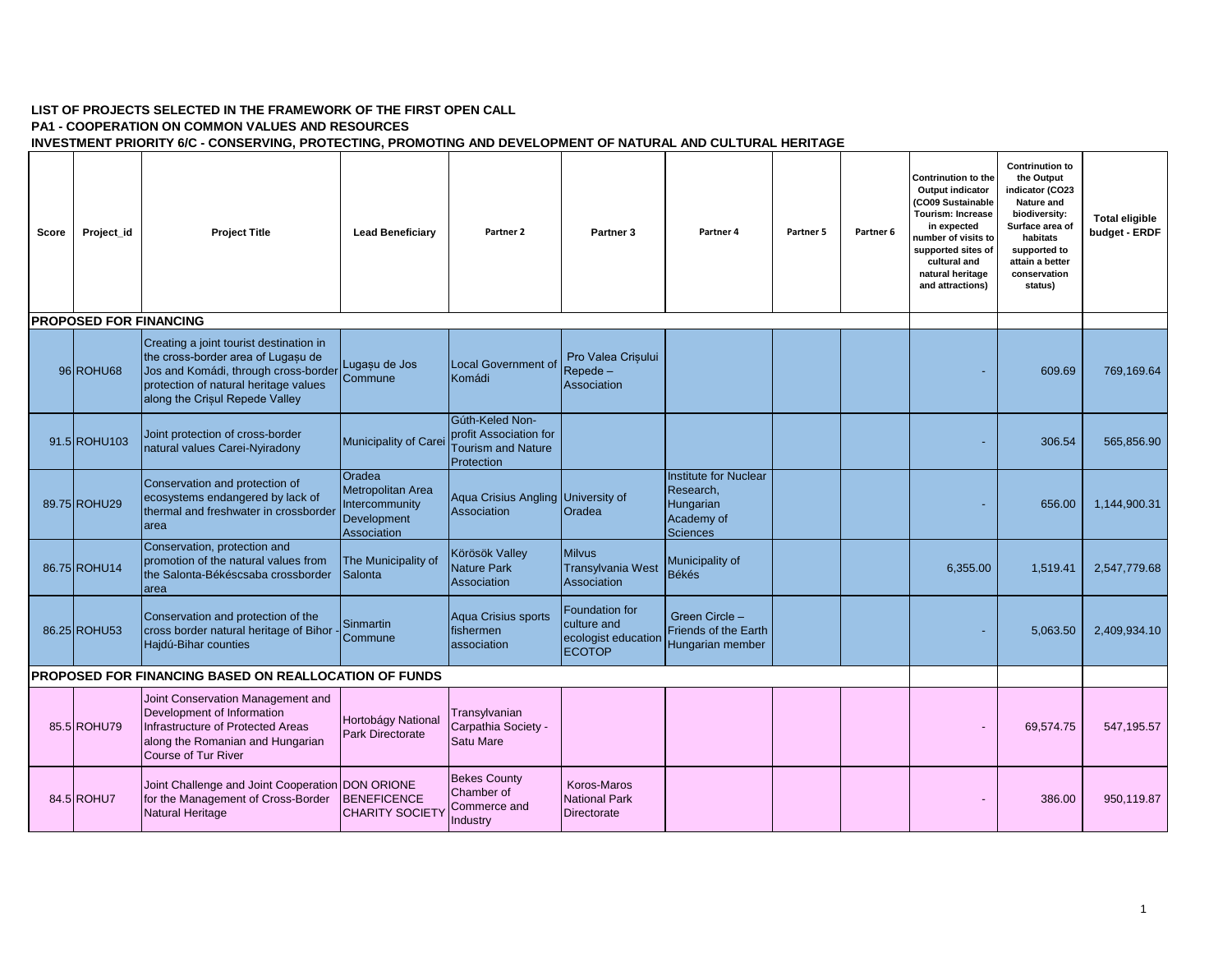## **LIST OF PROJECTS SELECTED IN THE FRAMEWORK OF THE FIRST OPEN CALL**

## **PA1 - COOPERATION ON COMMON VALUES AND RESOURCES**

**INVESTMENT PRIORITY 6/C - CONSERVING, PROTECTING, PROMOTING AND DEVELOPMENT OF NATURAL AND CULTURAL HERITAGE**

| Score                                                        | Project id   | <b>Project Title</b>                                                                                                                                                                                     | <b>Lead Beneficiary</b>                                                     | Partner 2                                                                            | Partner <sub>3</sub>                                                  | Partner 4                                                                               | Partner 5 | Partner <sub>6</sub> | <b>Contrinution to the</b><br><b>Output indicator</b><br>(CO09 Sustainable<br><b>Tourism: Increase</b><br>in expected<br>number of visits to<br>supported sites of<br>cultural and<br>natural heritage<br>and attractions) | <b>Contrinution to</b><br>the Output<br>indicator (CO23<br><b>Nature and</b><br>biodiversity:<br>Surface area of<br>habitats<br>supported to<br>attain a better<br>conservation<br>status) | <b>Total eligible</b><br>budget - ERDF |
|--------------------------------------------------------------|--------------|----------------------------------------------------------------------------------------------------------------------------------------------------------------------------------------------------------|-----------------------------------------------------------------------------|--------------------------------------------------------------------------------------|-----------------------------------------------------------------------|-----------------------------------------------------------------------------------------|-----------|----------------------|----------------------------------------------------------------------------------------------------------------------------------------------------------------------------------------------------------------------------|--------------------------------------------------------------------------------------------------------------------------------------------------------------------------------------------|----------------------------------------|
| <b>PROPOSED FOR FINANCING</b>                                |              |                                                                                                                                                                                                          |                                                                             |                                                                                      |                                                                       |                                                                                         |           |                      |                                                                                                                                                                                                                            |                                                                                                                                                                                            |                                        |
|                                                              | 96 ROHU68    | Creating a joint tourist destination in<br>the cross-border area of Lugasu de<br>Jos and Komádi, through cross-border Commune<br>protection of natural heritage values<br>along the Crisul Repede Valley | Lugașu de Jos                                                               | <b>Local Government of</b><br>Komádi                                                 | Pro Valea Crisului<br>Repede -<br>Association                         |                                                                                         |           |                      |                                                                                                                                                                                                                            | 609.69                                                                                                                                                                                     | 769,169.64                             |
|                                                              | 91.5 ROHU103 | Joint protection of cross-border<br>natural values Carei-Nyiradony                                                                                                                                       | Municipality of Carei                                                       | Gúth-Keled Non-<br>profit Association for<br><b>Tourism and Nature</b><br>Protection |                                                                       |                                                                                         |           |                      |                                                                                                                                                                                                                            | 306.54                                                                                                                                                                                     | 565,856.90                             |
|                                                              | 89.75 ROHU29 | Conservation and protection of<br>ecosystems endangered by lack of<br>thermal and freshwater in crossborder<br>larea                                                                                     | Oradea<br>Metropolitan Area<br>Intercommunity<br>Development<br>Association | Aqua Crisius Angling University of<br>Association                                    | Oradea                                                                | <b>Institute for Nuclear</b><br>Research,<br>Hungarian<br>Academy of<br><b>Sciences</b> |           |                      |                                                                                                                                                                                                                            | 656.00                                                                                                                                                                                     | 1.144.900.31                           |
|                                                              | 86.75 ROHU14 | Conservation, protection and<br>promotion of the natural values from<br>the Salonta-Békéscsaba crossborder<br>area                                                                                       | The Municipality of<br>Salonta                                              | Körösök Valley<br><b>Nature Park</b><br>Association                                  | <b>Milvus</b><br>Transylvania West<br>Association                     | Municipality of<br><b>Békés</b>                                                         |           |                      | 6,355.00                                                                                                                                                                                                                   | 1.519.41                                                                                                                                                                                   | 2,547,779.68                           |
|                                                              | 86.25 ROHU53 | Conservation and protection of the<br>cross border natural heritage of Bihor<br>Hajdú-Bihar counties                                                                                                     | Sinmartin<br>Commune                                                        | Aqua Crisius sports<br>fishermen<br>association                                      | Foundation for<br>culture and<br>ecologist education<br><b>ECOTOP</b> | Green Circle -<br>Friends of the Earth<br>Hungarian member                              |           |                      |                                                                                                                                                                                                                            | 5,063.50                                                                                                                                                                                   | 2,409,934.10                           |
| <b>PROPOSED FOR FINANCING BASED ON REALLOCATION OF FUNDS</b> |              |                                                                                                                                                                                                          |                                                                             |                                                                                      |                                                                       |                                                                                         |           |                      |                                                                                                                                                                                                                            |                                                                                                                                                                                            |                                        |
|                                                              | 85.5 ROHU79  | Joint Conservation Management and<br>Development of Information<br>Infrastructure of Protected Areas<br>along the Romanian and Hungarian<br>Course of Tur River                                          | Hortobágy National<br><b>Park Directorate</b>                               | Transylvanian<br>Carpathia Society -<br>Satu Mare                                    |                                                                       |                                                                                         |           |                      |                                                                                                                                                                                                                            | 69,574.75                                                                                                                                                                                  | 547,195.57                             |
|                                                              | 84.5 ROHU7   | Joint Challenge and Joint Cooperation DON ORIONE<br>for the Management of Cross-Border<br><b>Natural Heritage</b>                                                                                        | <b>BENEFICENCE</b><br><b>CHARITY SOCIETY</b>                                | <b>Bekes County</b><br>Chamber of<br>Commerce and<br>Industry                        | Koros-Maros<br><b>National Park</b><br>Directorate                    |                                                                                         |           |                      |                                                                                                                                                                                                                            | 386.00                                                                                                                                                                                     | 950.119.87                             |